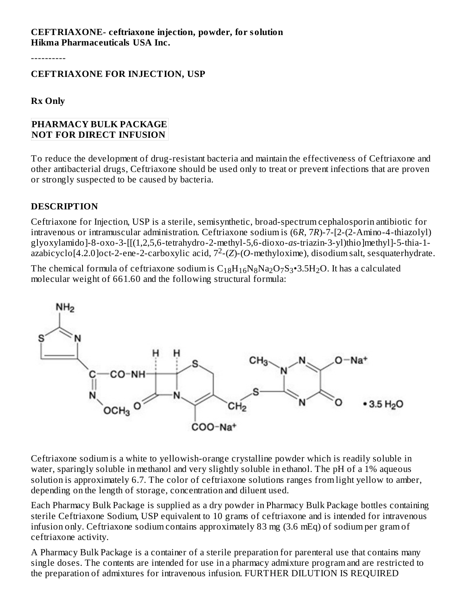#### **CEFTRIAXONE- ceftriaxone injection, powder, for solution Hikma Pharmaceuticals USA Inc.**

----------

### **CEFTRIAXONE FOR INJECTION, USP**

**Rx Only**

#### **PHARMACY BULK PACKAGE NOT FOR DIRECT INFUSION**

To reduce the development of drug-resistant bacteria and maintain the effectiveness of Ceftriaxone and other antibacterial drugs, Ceftriaxone should be used only to treat or prevent infections that are proven or strongly suspected to be caused by bacteria.

## **DESCRIPTION**

Ceftriaxone for Injection, USP is a sterile, semisynthetic, broad-spectrum cephalosporin antibiotic for intravenous or intramuscular administration. Ceftriaxone sodium is (6*R*, 7*R*)-7-[2-(2-Amino-4-thiazolyl) glyoxylamido]-8-oxo-3-[[(1,2,5,6-tetrahydro-2-methyl-5,6-dioxo-*as*-triazin-3-yl)thio]methyl]-5-thia-1 azabicyclo[4.2.0]oct-2-ene-2-carboxylic acid, 7<sup>2</sup>-(Z)-(O-methyloxime), disodium salt, sesquaterhydrate.

The chemical formula of ceftriaxone sodium is  $\rm{C_{18}H_{16}N_8N a_2O_7S_3•3.5H_2O}$ . It has a calculated molecular weight of 661.60 and the following structural formula:



Ceftriaxone sodium is a white to yellowish-orange crystalline powder which is readily soluble in water, sparingly soluble in methanol and very slightly soluble in ethanol. The pH of a 1% aqueous solution is approximately 6.7. The color of ceftriaxone solutions ranges from light yellow to amber, depending on the length of storage, concentration and diluent used.

Each Pharmacy Bulk Package is supplied as a dry powder in Pharmacy Bulk Package bottles containing sterile Ceftriaxone Sodium, USP equivalent to 10 grams of ceftriaxone and is intended for intravenous infusion only. Ceftriaxone sodium contains approximately 83 mg (3.6 mEq) of sodium per gram of ceftriaxone activity.

A Pharmacy Bulk Package is a container of a sterile preparation for parenteral use that contains many single doses. The contents are intended for use in a pharmacy admixture program and are restricted to the preparation of admixtures for intravenous infusion. FURTHER DILUTION IS REQUIRED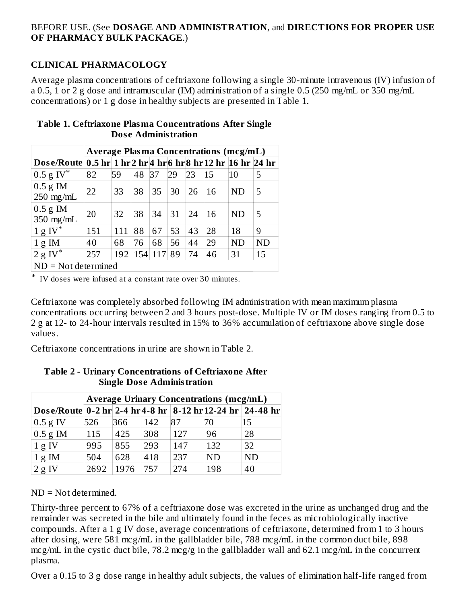### BEFORE USE. (See **DOSAGE AND ADMINISTRATION**, and **DIRECTIONS FOR PROPER USE OF PHARMACY BULK PACKAGE**.)

### **CLINICAL PHARMACOLOGY**

Average plasma concentrations of ceftriaxone following a single 30-minute intravenous (IV) infusion of a 0.5, 1 or 2 g dose and intramuscular (IM) administration of a single 0.5 (250 mg/mL or 350 mg/mL concentrations) or 1 g dose in healthy subjects are presented in Table 1.

|                                                              | Average Plasma Concentrations (mcg/mL) |     |     |     |    |    |    |           |           |
|--------------------------------------------------------------|----------------------------------------|-----|-----|-----|----|----|----|-----------|-----------|
| Dose/Route 0.5 hr 1 hr 2 hr 4 hr 6 hr 8 hr 12 hr 16 hr 24 hr |                                        |     |     |     |    |    |    |           |           |
| $0.5$ g IV*                                                  | 82                                     | 59  | 48  | 37  | 29 | 23 | 15 | 10        | 5         |
| $0.5$ g IM<br>$250$ mg/mL                                    | 22                                     | 33  | 38  | 35  | 30 | 26 | 16 | ND        | 5         |
| $0.5$ g IM<br>350 mg/mL                                      | 20                                     | 32  | 38  | 34  | 31 | 24 | 16 | <b>ND</b> | 5         |
| $1 g IV^*$                                                   | 151                                    | 111 | 88  | 67  | 53 | 43 | 28 | 18        | 9         |
| $1 g$ IM                                                     | 40                                     | 68  | 76  | 68  | 56 | 44 | 29 | <b>ND</b> | <b>ND</b> |
| $2 g IV^*$                                                   | 257                                    | 192 | 154 | 117 | 89 | 74 | 46 | 31        | 15        |
| $ND = Not determined$                                        |                                        |     |     |     |    |    |    |           |           |

| Table 1. Ceftriaxone Plasma Concentrations After Single |  |
|---------------------------------------------------------|--|
| <b>Dose Administration</b>                              |  |

\* IV doses were infused at a constant rate over 30 minutes.

Ceftriaxone was completely absorbed following IM administration with mean maximum plasma concentrations occurring between 2 and 3 hours post-dose. Multiple IV or IM doses ranging from 0.5 to 2 g at 12- to 24-hour intervals resulted in 15% to 36% accumulation of ceftriaxone above single dose values.

Ceftriaxone concentrations in urine are shown in Table 2.

|                                                           |      |      |     |     | <b>Average Urinary Concentrations (mcg/mL)</b> |           |
|-----------------------------------------------------------|------|------|-----|-----|------------------------------------------------|-----------|
| Dose/Route 0-2 hr 2-4 hr 4-8 hr 8-12 hr 12-24 hr 24-48 hr |      |      |     |     |                                                |           |
| $0.5$ g IV                                                | 526  | 366  | 142 | 87  | 70                                             | 15        |
| $0.5$ g IM                                                | 115  | 425  | 308 | 127 | 96                                             | 28        |
| 1 g IV                                                    | 995  | 855  | 293 | 147 | 132                                            | 32        |
| $1 g$ IM                                                  | 504  | 628  | 418 | 237 | <b>ND</b>                                      | <b>ND</b> |
| 2 g IV                                                    | 2692 | 1976 | 757 | 274 | 198                                            | 40        |

**Table 2 - Urinary Concentrations of Ceftriaxone After Single Dos e Administration**

ND = Not determined.

Thirty-three percent to 67% of a ceftriaxone dose was excreted in the urine as unchanged drug and the remainder was secreted in the bile and ultimately found in the feces as microbiologically inactive compounds. After a 1 g IV dose, average concentrations of ceftriaxone, determined from 1 to 3 hours after dosing, were 581 mcg/mL in the gallbladder bile, 788 mcg/mL in the common duct bile, 898 mcg/mL in the cystic duct bile, 78.2 mcg/g in the gallbladder wall and 62.1 mcg/mL in the concurrent plasma.

Over a 0.15 to 3 g dose range in healthy adult subjects, the values of elimination half-life ranged from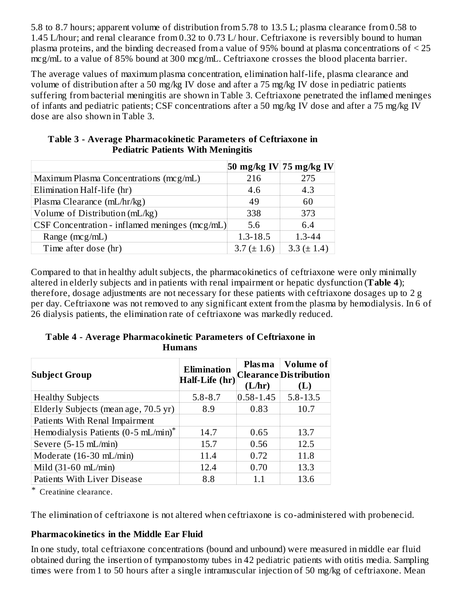5.8 to 8.7 hours; apparent volume of distribution from 5.78 to 13.5 L; plasma clearance from 0.58 to 1.45 L/hour; and renal clearance from 0.32 to 0.73 L/ hour. Ceftriaxone is reversibly bound to human plasma proteins, and the binding decreased from a value of 95% bound at plasma concentrations of < 25 mcg/mL to a value of 85% bound at 300 mcg/mL. Ceftriaxone crosses the blood placenta barrier.

The average values of maximum plasma concentration, elimination half-life, plasma clearance and volume of distribution after a 50 mg/kg IV dose and after a 75 mg/kg IV dose in pediatric patients suffering from bacterial meningitis are shown in Table 3. Ceftriaxone penetrated the inflamed meninges of infants and pediatric patients; CSF concentrations after a 50 mg/kg IV dose and after a 75 mg/kg IV dose are also shown in Table 3.

|                                                |                 | $ 50 \text{ mg/kg}$ IV 75 mg/kg IV |
|------------------------------------------------|-----------------|------------------------------------|
| Maximum Plasma Concentrations (mcg/mL)         | 216             | 275                                |
| Elimination Half-life (hr)                     | 4.6             | 4.3                                |
| Plasma Clearance (mL/hr/kg)                    | 49              | 60                                 |
| Volume of Distribution (mL/kg)                 | 338             | 373                                |
| CSF Concentration - inflamed meninges (mcg/mL) | 5.6             | 6.4                                |
| Range $(mcg/mL)$                               | $1.3 - 18.5$    | $1.3 - 44$                         |
| Time after dose (hr)                           | $3.7 (\pm 1.6)$ | 3.3 ( $\pm$ 1.4)                   |

#### **Table 3 - Average Pharmacokinetic Parameters of Ceftriaxone in Pediatric Patients With Meningitis**

Compared to that in healthy adult subjects, the pharmacokinetics of ceftriaxone were only minimally altered in elderly subjects and in patients with renal impairment or hepatic dysfunction (**Table 4**); therefore, dosage adjustments are not necessary for these patients with ceftriaxone dosages up to 2 g per day. Ceftriaxone was not removed to any significant extent from the plasma by hemodialysis. In 6 of 26 dialysis patients, the elimination rate of ceftriaxone was markedly reduced.

| <b>Subject Group</b>                 | <b>Elimination</b><br>Half-Life (hr) Clearance Distribution | <b>Plasma</b><br>(L/hr) | Volume of<br>(L) |
|--------------------------------------|-------------------------------------------------------------|-------------------------|------------------|
| <b>Healthy Subjects</b>              | $5.8 - 8.7$                                                 | $ 0.58 - 1.45 $         | $5.8 - 13.5$     |
| Elderly Subjects (mean age, 70.5 yr) | 8.9                                                         | 0.83                    | 10.7             |
| Patients With Renal Impairment       |                                                             |                         |                  |
| Hemodialysis Patients (0-5 mL/min)*  | 14.7                                                        | 0.65                    | 13.7             |
| Severe $(5-15$ mL/min)               | 15.7                                                        | 0.56                    | 12.5             |
| Moderate (16-30 mL/min)              | 11.4                                                        | 0.72                    | 11.8             |
| Mild $(31-60$ mL/min)                | 12.4                                                        | 0.70                    | 13.3             |
| Patients With Liver Disease          | 8.8                                                         | 11                      | 13.6             |

### **Table 4 - Average Pharmacokinetic Parameters of Ceftriaxone in Humans**

\* Creatinine clearance.

The elimination of ceftriaxone is not altered when ceftriaxone is co-administered with probenecid.

### **Pharmacokinetics in the Middle Ear Fluid**

In one study, total ceftriaxone concentrations (bound and unbound) were measured in middle ear fluid obtained during the insertion of tympanostomy tubes in 42 pediatric patients with otitis media. Sampling times were from 1 to 50 hours after a single intramuscular injection of 50 mg/kg of ceftriaxone. Mean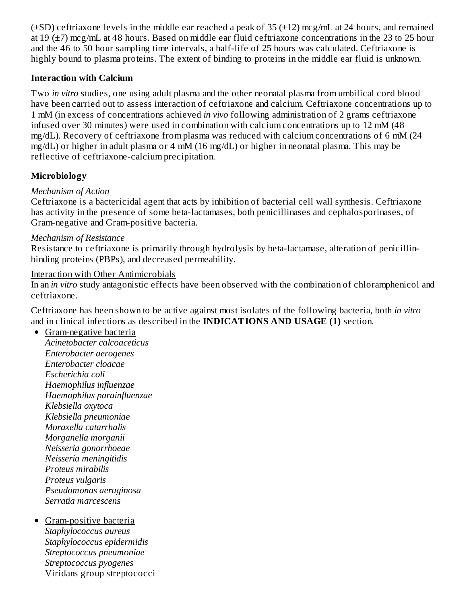$(\pm SD)$  ceftriaxone levels in the middle ear reached a peak of 35 ( $\pm 12$ ) mcg/mL at 24 hours, and remained at 19  $(\pm 7)$  mcg/mL at 48 hours. Based on middle ear fluid ceftriaxone concentrations in the 23 to 25 hour and the 46 to 50 hour sampling time intervals, a half-life of 25 hours was calculated. Ceftriaxone is highly bound to plasma proteins. The extent of binding to proteins in the middle ear fluid is unknown.

#### **Interaction with Calcium**

Two *in vitro* studies, one using adult plasma and the other neonatal plasma from umbilical cord blood have been carried out to assess interaction of ceftriaxone and calcium. Ceftriaxone concentrations up to 1 mM (in excess of concentrations achieved *in vivo* following administration of 2 grams ceftriaxone infused over 30 minutes) were used in combination with calcium concentrations up to 12 mM (48 mg/dL). Recovery of ceftriaxone from plasma was reduced with calcium concentrations of 6 mM (24 mg/dL) or higher in adult plasma or 4 mM (16 mg/dL) or higher in neonatal plasma. This may be reflective of ceftriaxone-calcium precipitation.

## **Microbiology**

### *Mechanism of Action*

Ceftriaxone is a bactericidal agent that acts by inhibition of bacterial cell wall synthesis. Ceftriaxone has activity in the presence of some beta-lactamases, both penicillinases and cephalosporinases, of Gram-negative and Gram-positive bacteria.

#### *Mechanism of Resistance*

Resistance to ceftriaxone is primarily through hydrolysis by beta-lactamase, alteration of penicillinbinding proteins (PBPs), and decreased permeability.

#### Interaction with Other Antimicrobials

In an *in vitro* study antagonistic effects have been observed with the combination of chloramphenicol and ceftriaxone.

Ceftriaxone has been shown to be active against most isolates of the following bacteria, both *in vitro* and in clinical infections as described in the **INDICATIONS AND USAGE (1)** section.

Gram-negative bacteria

*Acinetobacter calcoaceticus Enterobacter aerogenes Enterobacter cloacae Escherichia coli Haemophilus influenzae Haemophilus parainfluenzae Klebsiella oxytoca Klebsiella pneumoniae Moraxella catarrhalis Morganella morganii Neisseria gonorrhoeae Neisseria meningitidis Proteus mirabilis Proteus vulgaris Pseudomonas aeruginosa Serratia marcescens*

Gram-positive bacteria *Staphylococcus aureus Staphylococcus epidermidis Streptococcus pneumoniae Streptococcus pyogenes* Viridans group streptococci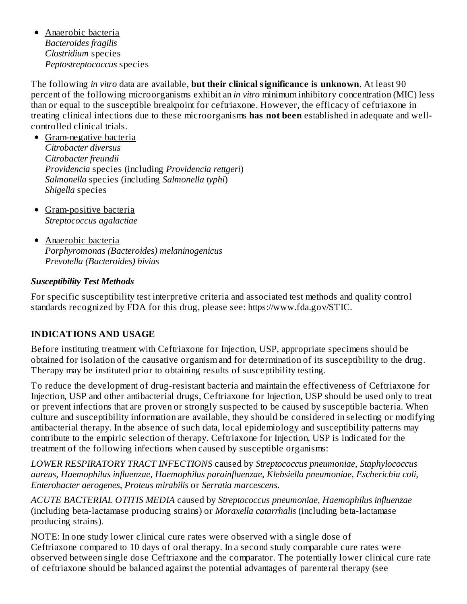Anaerobic bacteria *Bacteroides fragilis Clostridium* species *Peptostreptococcus* species

The following *in vitro* data are available, **but their clinical significance is unknown**. At least 90 percent of the following microorganisms exhibit an *in vitro* minimum inhibitory concentration (MIC) less than or equal to the susceptible breakpoint for ceftriaxone. However, the efficacy of ceftriaxone in treating clinical infections due to these microorganisms **has not been** established in adequate and wellcontrolled clinical trials.

- Gram-negative bacteria *Citrobacter diversus Citrobacter freundii Providencia* species (including *Providencia rettgeri*) *Salmonella* species (including *Salmonella typhi*) *Shigella* species
- Gram-positive bacteria *Streptococcus agalactiae*
- Anaerobic bacteria *Porphyromonas (Bacteroides) melaninogenicus Prevotella (Bacteroides) bivius*

#### *Susceptibility Test Methods*

For specific susceptibility test interpretive criteria and associated test methods and quality control standards recognized by FDA for this drug, please see: https://www.fda.gov/STIC.

### **INDICATIONS AND USAGE**

Before instituting treatment with Ceftriaxone for Injection, USP, appropriate specimens should be obtained for isolation of the causative organism and for determination of its susceptibility to the drug. Therapy may be instituted prior to obtaining results of susceptibility testing.

To reduce the development of drug-resistant bacteria and maintain the effectiveness of Ceftriaxone for Injection, USP and other antibacterial drugs, Ceftriaxone for Injection, USP should be used only to treat or prevent infections that are proven or strongly suspected to be caused by susceptible bacteria. When culture and susceptibility information are available, they should be considered in selecting or modifying antibacterial therapy. In the absence of such data, local epidemiology and susceptibility patterns may contribute to the empiric selection of therapy. Ceftriaxone for Injection, USP is indicated for the treatment of the following infections when caused by susceptible organisms:

*LOWER RESPIRATORY TRACT INFECTIONS* caused by *Streptococcus pneumoniae*, *Staphylococcus aureus, Haemophilus influenzae, Haemophilus parainfluenzae, Klebsiella pneumoniae, Escherichia coli, Enterobacter aerogenes, Proteus mirabilis* or *Serratia marcescens*.

*ACUTE BACTERIAL OTITIS MEDIA* caused by *Streptococcus pneumoniae, Haemophilus influenzae* (including beta-lactamase producing strains) or *Moraxella catarrhalis* (including beta-lactamase producing strains).

NOTE: In one study lower clinical cure rates were observed with a single dose of Ceftriaxone compared to 10 days of oral therapy. In a second study comparable cure rates were observed between single dose Ceftriaxone and the comparator. The potentially lower clinical cure rate of ceftriaxone should be balanced against the potential advantages of parenteral therapy (see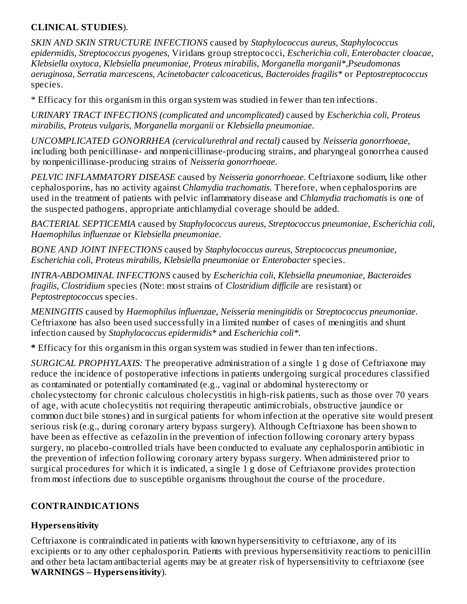## **CLINICAL STUDIES**).

*SKIN AND SKIN STRUCTURE INFECTIONS* caused by *Staphylococcus aureus, Staphylococcus epidermidis, Streptococcus pyogenes*, Viridans group streptococci, *Escherichia coli, Enterobacter cloacae, Klebsiella oxytoca, Klebsiella pneumoniae, Proteus mirabilis, Morganella morganii\*,Pseudomonas aeruginosa, Serratia marcescens, Acinetobacter calcoaceticus, Bacteroides fragilis\** or *Peptostreptococcus* species.

\* Efficacy for this organism in this organ system was studied in fewer than ten infections.

*URINARY TRACT INFECTIONS (complicated and uncomplicated)* caused by *Escherichia coli, Proteus mirabilis, Proteus vulgaris, Morganella morganii* or *Klebsiella pneumoniae*.

*UNCOMPLICATED GONORRHEA (cervical/urethral and rectal)* caused by *Neisseria gonorrhoeae*, including both penicillinase- and nonpenicillinase-producing strains, and pharyngeal gonorrhea caused by nonpenicillinase-producing strains of *Neisseria gonorrhoeae*.

*PELVIC INFLAMMATORY DISEASE* caused by *Neisseria gonorrhoeae*. Ceftriaxone sodium, like other cephalosporins, has no activity against *Chlamydia trachomatis*. Therefore, when cephalosporins are used in the treatment of patients with pelvic inflammatory disease and *Chlamydia trachomatis* is one of the suspected pathogens, appropriate antichlamydial coverage should be added.

*BACTERIAL SEPTICEMIA* caused by *Staphylococcus aureus, Streptococcus pneumoniae, Escherichia coli, Haemophilus influenzae* or *Klebsiella pneumoniae*.

*BONE AND JOINT INFECTIONS* caused by *Staphylococcus aureus, Streptococcus pneumoniae, Escherichia coli, Proteus mirabilis, Klebsiella pneumoniae* or *Enterobacter* species.

*INTRA-ABDOMINAL INFECTIONS* caused by *Escherichia coli, Klebsiella pneumoniae, Bacteroides fragilis, Clostridium* species (Note: most strains of *Clostridium difficile* are resistant) or *Peptostreptococcus* species.

*MENINGITIS* caused by *Haemophilus influenzae, Neisseria meningitidis* or *Streptococcus pneumoniae*. Ceftriaxone has also been used successfully in a limited number of cases of meningitis and shunt infection caused by *Staphylococcus epidermidis\** and *Escherichia coli\**.

**\*** Efficacy for this organism in this organ system was studied in fewer than ten infections.

*SURGICAL PROPHYLAXIS:* The preoperative administration of a single 1 g dose of Ceftriaxone may reduce the incidence of postoperative infections in patients undergoing surgical procedures classified as contaminated or potentially contaminated (e.g., vaginal or abdominal hysterectomy or cholecystectomy for chronic calculous cholecystitis in high-risk patients, such as those over 70 years of age, with acute cholecystitis not requiring therapeutic antimicrobials, obstructive jaundice or common duct bile stones) and in surgical patients for whom infection at the operative site would present serious risk (e.g., during coronary artery bypass surgery). Although Ceftriaxone has been shown to have been as effective as cefazolin in the prevention of infection following coronary artery bypass surgery, no placebo-controlled trials have been conducted to evaluate any cephalosporin antibiotic in the prevention of infection following coronary artery bypass surgery. When administered prior to surgical procedures for which it is indicated, a single 1 g dose of Ceftriaxone provides protection from most infections due to susceptible organisms throughout the course of the procedure.

### **CONTRAINDICATIONS**

## **Hypers ensitivity**

Ceftriaxone is contraindicated in patients with known hypersensitivity to ceftriaxone, any of its excipients or to any other cephalosporin. Patients with previous hypersensitivity reactions to penicillin and other beta lactam antibacterial agents may be at greater risk of hypersensitivity to ceftriaxone (see **WARNINGS – Hypers ensitivity**).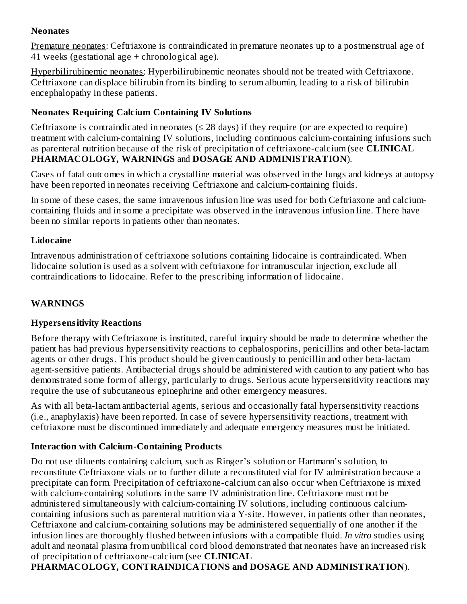#### **Neonates**

Premature neonates: Ceftriaxone is contraindicated in premature neonates up to a postmenstrual age of 41 weeks (gestational age + chronological age).

Hyperbilirubinemic neonates: Hyperbilirubinemic neonates should not be treated with Ceftriaxone. Ceftriaxone can displace bilirubin from its binding to serum albumin, leading to a risk of bilirubin encephalopathy in these patients.

### **Neonates Requiring Calcium Containing IV Solutions**

Ceftriaxone is contraindicated in neonates  $(\leq 28 \text{ days})$  if they require (or are expected to require) treatment with calcium-containing IV solutions, including continuous calcium-containing infusions such as parenteral nutrition because of the risk of precipitation of ceftriaxone-calcium (see **CLINICAL PHARMACOLOGY, WARNINGS** and **DOSAGE AND ADMINISTRATION**).

Cases of fatal outcomes in which a crystalline material was observed in the lungs and kidneys at autopsy have been reported in neonates receiving Ceftriaxone and calcium-containing fluids.

In some of these cases, the same intravenous infusion line was used for both Ceftriaxone and calciumcontaining fluids and in some a precipitate was observed in the intravenous infusion line. There have been no similar reports in patients other than neonates.

## **Lidocaine**

Intravenous administration of ceftriaxone solutions containing lidocaine is contraindicated. When lidocaine solution is used as a solvent with ceftriaxone for intramuscular injection, exclude all contraindications to lidocaine. Refer to the prescribing information of lidocaine.

## **WARNINGS**

### **Hypers ensitivity Reactions**

Before therapy with Ceftriaxone is instituted, careful inquiry should be made to determine whether the patient has had previous hypersensitivity reactions to cephalosporins, penicillins and other beta-lactam agents or other drugs. This product should be given cautiously to penicillin and other beta-lactam agent-sensitive patients. Antibacterial drugs should be administered with caution to any patient who has demonstrated some form of allergy, particularly to drugs. Serious acute hypersensitivity reactions may require the use of subcutaneous epinephrine and other emergency measures.

As with all beta-lactam antibacterial agents, serious and occasionally fatal hypersensitivity reactions (i.e., anaphylaxis) have been reported. In case of severe hypersensitivity reactions, treatment with ceftriaxone must be discontinued immediately and adequate emergency measures must be initiated.

### **Interaction with Calcium-Containing Products**

Do not use diluents containing calcium, such as Ringer's solution or Hartmann's solution, to reconstitute Ceftriaxone vials or to further dilute a reconstituted vial for IV administration because a precipitate can form. Precipitation of ceftriaxone-calcium can also occur when Ceftriaxone is mixed with calcium-containing solutions in the same IV administration line. Ceftriaxone must not be administered simultaneously with calcium-containing IV solutions, including continuous calciumcontaining infusions such as parenteral nutrition via a Y-site. However, in patients other than neonates, Ceftriaxone and calcium-containing solutions may be administered sequentially of one another if the infusion lines are thoroughly flushed between infusions with a compatible fluid. *In vitro* studies using adult and neonatal plasma from umbilical cord blood demonstrated that neonates have an increased risk of precipitation of ceftriaxone-calcium (see **CLINICAL**

## **PHARMACOLOGY, CONTRAINDICATIONS and DOSAGE AND ADMINISTRATION**).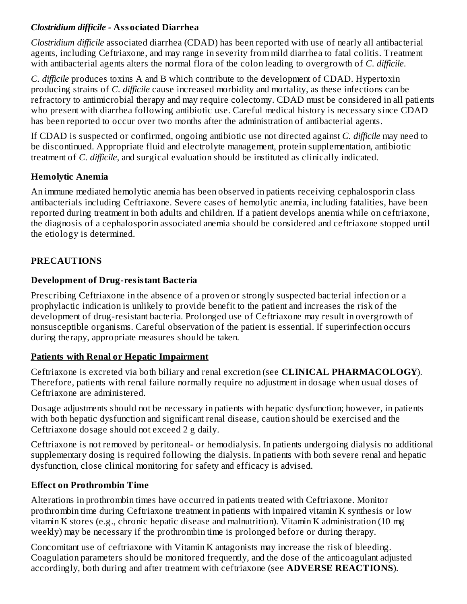## *Clostridium difficile -* **Associated Diarrhea**

*Clostridium difficile* associated diarrhea (CDAD) has been reported with use of nearly all antibacterial agents, including Ceftriaxone, and may range in severity from mild diarrhea to fatal colitis. Treatment with antibacterial agents alters the normal flora of the colon leading to overgrowth of *C. difficile*.

*C. difficile* produces toxins A and B which contribute to the development of CDAD. Hypertoxin producing strains of *C. difficile* cause increased morbidity and mortality, as these infections can be refractory to antimicrobial therapy and may require colectomy. CDAD must be considered in all patients who present with diarrhea following antibiotic use. Careful medical history is necessary since CDAD has been reported to occur over two months after the administration of antibacterial agents.

If CDAD is suspected or confirmed, ongoing antibiotic use not directed against *C. difficile* may need to be discontinued. Appropriate fluid and electrolyte management, protein supplementation, antibiotic treatment of *C. difficile*, and surgical evaluation should be instituted as clinically indicated.

## **Hemolytic Anemia**

An immune mediated hemolytic anemia has been observed in patients receiving cephalosporin class antibacterials including Ceftriaxone. Severe cases of hemolytic anemia, including fatalities, have been reported during treatment in both adults and children. If a patient develops anemia while on ceftriaxone, the diagnosis of a cephalosporin associated anemia should be considered and ceftriaxone stopped until the etiology is determined.

## **PRECAUTIONS**

## **Development of Drug-resistant Bacteria**

Prescribing Ceftriaxone in the absence of a proven or strongly suspected bacterial infection or a prophylactic indication is unlikely to provide benefit to the patient and increases the risk of the development of drug-resistant bacteria. Prolonged use of Ceftriaxone may result in overgrowth of nonsusceptible organisms. Careful observation of the patient is essential. If superinfection occurs during therapy, appropriate measures should be taken.

### **Patients with Renal or Hepatic Impairment**

Ceftriaxone is excreted via both biliary and renal excretion (see **CLINICAL PHARMACOLOGY**). Therefore, patients with renal failure normally require no adjustment in dosage when usual doses of Ceftriaxone are administered.

Dosage adjustments should not be necessary in patients with hepatic dysfunction; however, in patients with both hepatic dysfunction and significant renal disease, caution should be exercised and the Ceftriaxone dosage should not exceed 2 g daily.

Ceftriaxone is not removed by peritoneal- or hemodialysis. In patients undergoing dialysis no additional supplementary dosing is required following the dialysis. In patients with both severe renal and hepatic dysfunction, close clinical monitoring for safety and efficacy is advised.

### **Effect on Prothrombin Time**

Alterations in prothrombin times have occurred in patients treated with Ceftriaxone. Monitor prothrombin time during Ceftriaxone treatment in patients with impaired vitamin K synthesis or low vitamin K stores (e.g., chronic hepatic disease and malnutrition). Vitamin K administration (10 mg weekly) may be necessary if the prothrombin time is prolonged before or during therapy.

Concomitant use of ceftriaxone with Vitamin K antagonists may increase the risk of bleeding. Coagulation parameters should be monitored frequently, and the dose of the anticoagulant adjusted accordingly, both during and after treatment with ceftriaxone (see **ADVERSE REACTIONS**).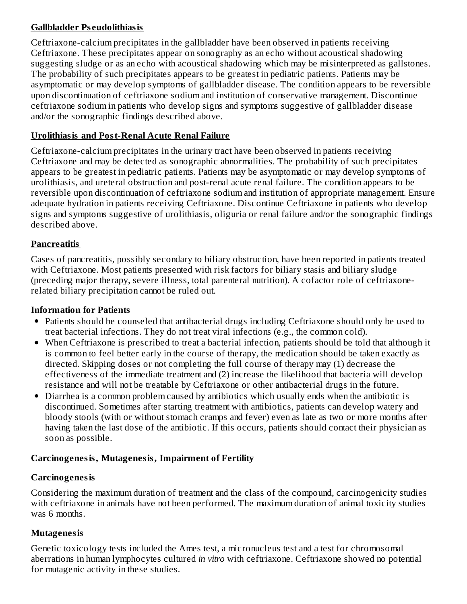## **Gallbladder Ps eudolithiasis**

Ceftriaxone-calcium precipitates in the gallbladder have been observed in patients receiving Ceftriaxone. These precipitates appear on sonography as an echo without acoustical shadowing suggesting sludge or as an echo with acoustical shadowing which may be misinterpreted as gallstones. The probability of such precipitates appears to be greatest in pediatric patients. Patients may be asymptomatic or may develop symptoms of gallbladder disease. The condition appears to be reversible upon discontinuation of ceftriaxone sodium and institution of conservative management. Discontinue ceftriaxone sodium in patients who develop signs and symptoms suggestive of gallbladder disease and/or the sonographic findings described above.

## **Urolithiasis and Post-Renal Acute Renal Failure**

Ceftriaxone-calcium precipitates in the urinary tract have been observed in patients receiving Ceftriaxone and may be detected as sonographic abnormalities. The probability of such precipitates appears to be greatest in pediatric patients. Patients may be asymptomatic or may develop symptoms of urolithiasis, and ureteral obstruction and post-renal acute renal failure. The condition appears to be reversible upon discontinuation of ceftriaxone sodium and institution of appropriate management. Ensure adequate hydration in patients receiving Ceftriaxone. Discontinue Ceftriaxone in patients who develop signs and symptoms suggestive of urolithiasis, oliguria or renal failure and/or the sonographic findings described above.

## **Pancreatitis**

Cases of pancreatitis, possibly secondary to biliary obstruction, have been reported in patients treated with Ceftriaxone. Most patients presented with risk factors for biliary stasis and biliary sludge (preceding major therapy, severe illness, total parenteral nutrition). A cofactor role of ceftriaxonerelated biliary precipitation cannot be ruled out.

### **Information for Patients**

- Patients should be counseled that antibacterial drugs including Ceftriaxone should only be used to treat bacterial infections. They do not treat viral infections (e.g., the common cold).
- When Ceftriaxone is prescribed to treat a bacterial infection, patients should be told that although it is common to feel better early in the course of therapy, the medication should be taken exactly as directed. Skipping doses or not completing the full course of therapy may (1) decrease the effectiveness of the immediate treatment and (2) increase the likelihood that bacteria will develop resistance and will not be treatable by Ceftriaxone or other antibacterial drugs in the future.
- Diarrhea is a common problem caused by antibiotics which usually ends when the antibiotic is discontinued. Sometimes after starting treatment with antibiotics, patients can develop watery and bloody stools (with or without stomach cramps and fever) even as late as two or more months after having taken the last dose of the antibiotic. If this occurs, patients should contact their physician as soon as possible.

### **Carcinogenesis, Mutagenesis, Impairment of Fertility**

### **Carcinogenesis**

Considering the maximum duration of treatment and the class of the compound, carcinogenicity studies with ceftriaxone in animals have not been performed. The maximum duration of animal toxicity studies was 6 months.

### **Mutagenesis**

Genetic toxicology tests included the Ames test, a micronucleus test and a test for chromosomal aberrations in human lymphocytes cultured *in vitro* with ceftriaxone. Ceftriaxone showed no potential for mutagenic activity in these studies.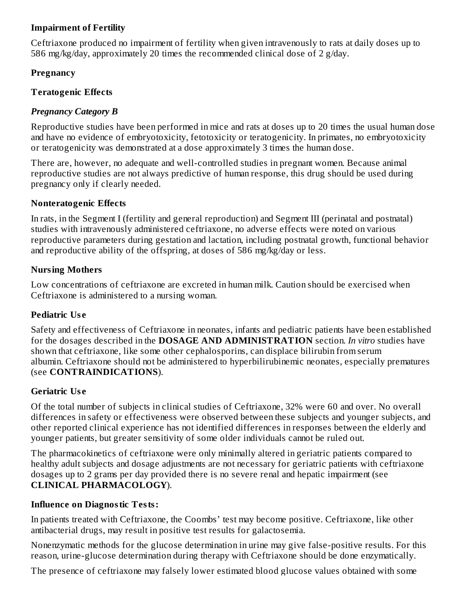### **Impairment of Fertility**

Ceftriaxone produced no impairment of fertility when given intravenously to rats at daily doses up to 586 mg/kg/day, approximately 20 times the recommended clinical dose of 2 g/day.

#### **Pregnancy**

### **Teratogenic Effects**

## *Pregnancy Category B*

Reproductive studies have been performed in mice and rats at doses up to 20 times the usual human dose and have no evidence of embryotoxicity, fetotoxicity or teratogenicity. In primates, no embryotoxicity or teratogenicity was demonstrated at a dose approximately 3 times the human dose.

There are, however, no adequate and well-controlled studies in pregnant women. Because animal reproductive studies are not always predictive of human response, this drug should be used during pregnancy only if clearly needed.

### **Nonteratogenic Effects**

In rats, in the Segment I (fertility and general reproduction) and Segment III (perinatal and postnatal) studies with intravenously administered ceftriaxone, no adverse effects were noted on various reproductive parameters during gestation and lactation, including postnatal growth, functional behavior and reproductive ability of the offspring, at doses of 586 mg/kg/day or less.

## **Nursing Mothers**

Low concentrations of ceftriaxone are excreted in human milk. Caution should be exercised when Ceftriaxone is administered to a nursing woman.

## **Pediatric Us e**

Safety and effectiveness of Ceftriaxone in neonates, infants and pediatric patients have been established for the dosages described in the **DOSAGE AND ADMINISTRATION** section. *In vitro* studies have shown that ceftriaxone, like some other cephalosporins, can displace bilirubin from serum albumin. Ceftriaxone should not be administered to hyperbilirubinemic neonates, especially prematures (see **CONTRAINDICATIONS**).

## **Geriatric Us e**

Of the total number of subjects in clinical studies of Ceftriaxone, 32% were 60 and over. No overall differences in safety or effectiveness were observed between these subjects and younger subjects, and other reported clinical experience has not identified differences in responses between the elderly and younger patients, but greater sensitivity of some older individuals cannot be ruled out.

The pharmacokinetics of ceftriaxone were only minimally altered in geriatric patients compared to healthy adult subjects and dosage adjustments are not necessary for geriatric patients with ceftriaxone dosages up to 2 grams per day provided there is no severe renal and hepatic impairment (see **CLINICAL PHARMACOLOGY**).

### **Influence on Diagnostic Tests:**

In patients treated with Ceftriaxone, the Coombs' test may become positive. Ceftriaxone, like other antibacterial drugs, may result in positive test results for galactosemia.

Nonenzymatic methods for the glucose determination in urine may give false-positive results. For this reason, urine-glucose determination during therapy with Ceftriaxone should be done enzymatically.

The presence of ceftriaxone may falsely lower estimated blood glucose values obtained with some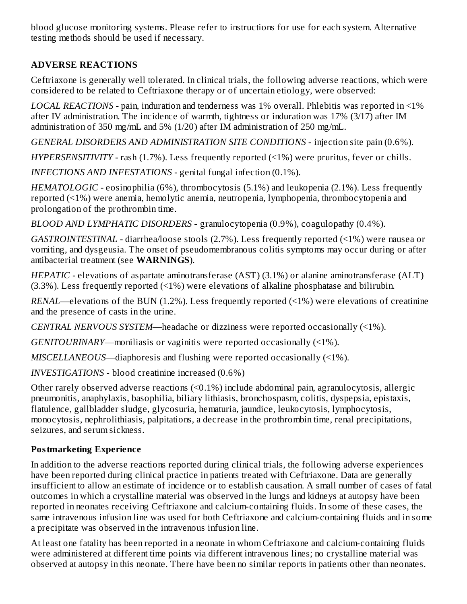blood glucose monitoring systems. Please refer to instructions for use for each system. Alternative testing methods should be used if necessary.

## **ADVERSE REACTIONS**

Ceftriaxone is generally well tolerated. In clinical trials, the following adverse reactions, which were considered to be related to Ceftriaxone therapy or of uncertain etiology, were observed:

*LOCAL REACTIONS -* pain, induration and tenderness was 1% overall. Phlebitis was reported in <1% after IV administration. The incidence of warmth, tightness or induration was 17% (3/17) after IM administration of 350 mg/mL and 5% (1/20) after IM administration of 250 mg/mL.

*GENERAL DISORDERS AND ADMINISTRATION SITE CONDITIONS* - injection site pain (0.6%).

*HYPERSENSITIVITY -* rash (1.7%). Less frequently reported (<1%) were pruritus, fever or chills.

*INFECTIONS AND INFESTATIONS -* genital fungal infection (0.1%).

*HEMATOLOGIC -* eosinophilia (6%), thrombocytosis (5.1%) and leukopenia (2.1%). Less frequently reported (<1%) were anemia, hemolytic anemia, neutropenia, lymphopenia, thrombocytopenia and prolongation of the prothrombin time.

*BLOOD AND LYMPHATIC DISORDERS* - granulocytopenia (0.9%), coagulopathy (0.4%).

*GASTROINTESTINAL -* diarrhea/loose stools (2.7%). Less frequently reported (<1%) were nausea or vomiting, and dysgeusia. The onset of pseudomembranous colitis symptoms may occur during or after antibacterial treatment (see **WARNINGS**).

*HEPATIC -* elevations of aspartate aminotransferase (AST) (3.1%) or alanine aminotransferase (ALT) (3.3%). Less frequently reported (<1%) were elevations of alkaline phosphatase and bilirubin.

*RENAL*—elevations of the BUN (1.2%). Less frequently reported (<1%) were elevations of creatinine and the presence of casts in the urine.

*CENTRAL NERVOUS SYSTEM*—headache or dizziness were reported occasionally (<1%).

*GENITOURINARY*—moniliasis or vaginitis were reported occasionally (<1%).

*MISCELLANEOUS*—diaphoresis and flushing were reported occasionally (<1%).

*INVESTIGATIONS* - blood creatinine increased (0.6%)

Other rarely observed adverse reactions (<0.1%) include abdominal pain, agranulocytosis, allergic pneumonitis, anaphylaxis, basophilia, biliary lithiasis, bronchospasm, colitis, dyspepsia, epistaxis, flatulence, gallbladder sludge, glycosuria, hematuria, jaundice, leukocytosis, lymphocytosis, monocytosis, nephrolithiasis, palpitations, a decrease in the prothrombin time, renal precipitations, seizures, and serum sickness.

## **Postmarketing Experience**

In addition to the adverse reactions reported during clinical trials, the following adverse experiences have been reported during clinical practice in patients treated with Ceftriaxone. Data are generally insufficient to allow an estimate of incidence or to establish causation. A small number of cases of fatal outcomes in which a crystalline material was observed in the lungs and kidneys at autopsy have been reported in neonates receiving Ceftriaxone and calcium-containing fluids. In some of these cases, the same intravenous infusion line was used for both Ceftriaxone and calcium-containing fluids and in some a precipitate was observed in the intravenous infusion line.

At least one fatality has been reported in a neonate in whom Ceftriaxone and calcium-containing fluids were administered at different time points via different intravenous lines; no crystalline material was observed at autopsy in this neonate. There have been no similar reports in patients other than neonates.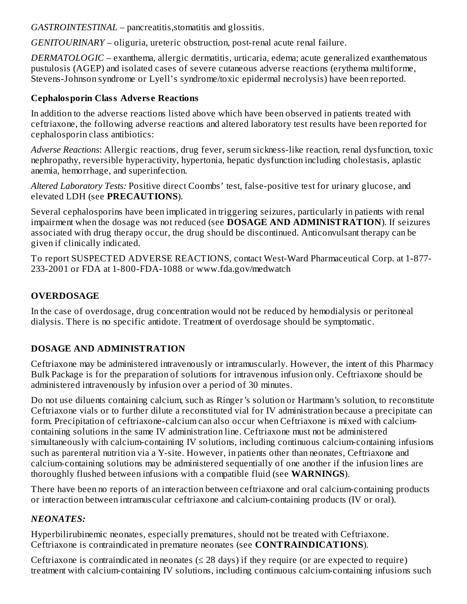*GASTROINTESTINAL –* pancreatitis,stomatitis and glossitis.

*GENITOURINARY –* oliguria, ureteric obstruction, post-renal acute renal failure.

*DERMATOLOGIC –* exanthema, allergic dermatitis, urticaria, edema; acute generalized exanthematous pustulosis (AGEP) and isolated cases of severe cutaneous adverse reactions (erythema multiforme, Stevens-Johnson syndrome or Lyell's syndrome/toxic epidermal necrolysis) have been reported.

# **Cephalosporin Class Advers e Reactions**

In addition to the adverse reactions listed above which have been observed in patients treated with ceftriaxone, the following adverse reactions and altered laboratory test results have been reported for cephalosporin class antibiotics:

*Adverse Reactions*: Allergic reactions, drug fever, serum sickness-like reaction, renal dysfunction, toxic nephropathy, reversible hyperactivity, hypertonia, hepatic dysfunction including cholestasis, aplastic anemia, hemorrhage, and superinfection.

*Altered Laboratory Tests:* Positive direct Coombs' test, false-positive test for urinary glucose, and elevated LDH (see **PRECAUTIONS**).

Several cephalosporins have been implicated in triggering seizures, particularly in patients with renal impairment when the dosage was not reduced (see **DOSAGE AND ADMINISTRATION**). If seizures associated with drug therapy occur, the drug should be discontinued. Anticonvulsant therapy can be given if clinically indicated.

To report SUSPECTED ADVERSE REACTIONS, contact West-Ward Pharmaceutical Corp. at 1-877- 233-2001 or FDA at 1-800-FDA-1088 or www.fda.gov/medwatch

# **OVERDOSAGE**

In the case of overdosage, drug concentration would not be reduced by hemodialysis or peritoneal dialysis. There is no specific antidote. Treatment of overdosage should be symptomatic.

# **DOSAGE AND ADMINISTRATION**

Ceftriaxone may be administered intravenously or intramuscularly. However, the intent of this Pharmacy Bulk Package is for the preparation of solutions for intravenous infusion only. Ceftriaxone should be administered intravenously by infusion over a period of 30 minutes.

Do not use diluents containing calcium, such as Ringer*'*s solution or Hartmann*'*s solution, to reconstitute Ceftriaxone vials or to further dilute a reconstituted vial for IV administration because a precipitate can form. Precipitation of ceftriaxone-calcium can also occur when Ceftriaxone is mixed with calciumcontaining solutions in the same IV administration line. Ceftriaxone must not be administered simultaneously with calcium-containing IV solutions, including continuous calcium-containing infusions such as parenteral nutrition via a Y-site. However, in patients other than neonates, Ceftriaxone and calcium-containing solutions may be administered sequentially of one another if the infusion lines are thoroughly flushed between infusions with a compatible fluid (see **WARNINGS**).

There have been no reports of an interaction between ceftriaxone and oral calcium-containing products or interaction between intramuscular ceftriaxone and calcium-containing products (IV or oral).

# *NEONATES:*

Hyperbilirubinemic neonates, especially prematures, should not be treated with Ceftriaxone. Ceftriaxone is contraindicated in premature neonates (see **CONTRAINDICATIONS**).

Ceftriaxone is contraindicated in neonates  $(\leq 28 \text{ days})$  if they require (or are expected to require) treatment with calcium-containing IV solutions, including continuous calcium-containing infusions such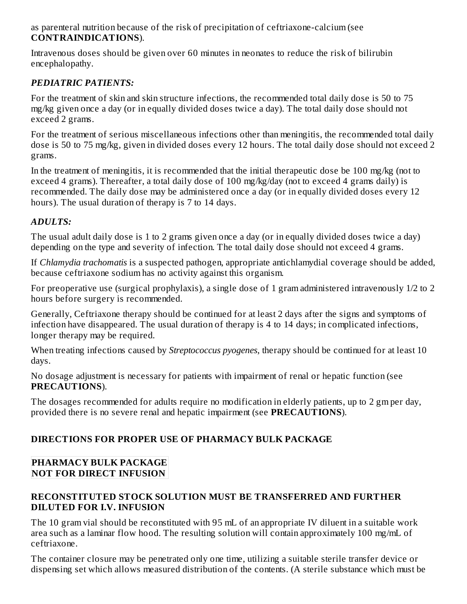as parenteral nutrition because of the risk of precipitation of ceftriaxone-calcium (see **CONTRAINDICATIONS**).

Intravenous doses should be given over 60 minutes in neonates to reduce the risk of bilirubin encephalopathy.

## *PEDIATRIC PATIENTS:*

For the treatment of skin and skin structure infections, the recommended total daily dose is 50 to 75 mg/kg given once a day (or in equally divided doses twice a day). The total daily dose should not exceed 2 grams.

For the treatment of serious miscellaneous infections other than meningitis, the recommended total daily dose is 50 to 75 mg/kg, given in divided doses every 12 hours. The total daily dose should not exceed 2 grams.

In the treatment of meningitis, it is recommended that the initial therapeutic dose be 100 mg/kg (not to exceed 4 grams). Thereafter, a total daily dose of 100 mg/kg/day (not to exceed 4 grams daily) is recommended. The daily dose may be administered once a day (or in equally divided doses every 12 hours). The usual duration of therapy is 7 to 14 days.

## *ADULTS:*

The usual adult daily dose is 1 to 2 grams given once a day (or in equally divided doses twice a day) depending on the type and severity of infection. The total daily dose should not exceed 4 grams.

If *Chlamydia trachomatis* is a suspected pathogen, appropriate antichlamydial coverage should be added, because ceftriaxone sodium has no activity against this organism.

For preoperative use (surgical prophylaxis), a single dose of 1 gram administered intravenously 1/2 to 2 hours before surgery is recommended.

Generally, Ceftriaxone therapy should be continued for at least 2 days after the signs and symptoms of infection have disappeared. The usual duration of therapy is 4 to 14 days; in complicated infections, longer therapy may be required.

When treating infections caused by *Streptococcus pyogenes*, therapy should be continued for at least 10 days.

No dosage adjustment is necessary for patients with impairment of renal or hepatic function (see **PRECAUTIONS**).

The dosages recommended for adults require no modification in elderly patients, up to 2 gm per day, provided there is no severe renal and hepatic impairment (see **PRECAUTIONS**).

# **DIRECTIONS FOR PROPER USE OF PHARMACY BULK PACKAGE**

## **PHARMACY BULK PACKAGE NOT FOR DIRECT INFUSION**

### **RECONSTITUTED STOCK SOLUTION MUST BE TRANSFERRED AND FURTHER DILUTED FOR I.V. INFUSION**

The 10 gram vial should be reconstituted with 95 mL of an appropriate IV diluent in a suitable work area such as a laminar flow hood. The resulting solution will contain approximately 100 mg/mL of ceftriaxone.

The container closure may be penetrated only one time, utilizing a suitable sterile transfer device or dispensing set which allows measured distribution of the contents. (A sterile substance which must be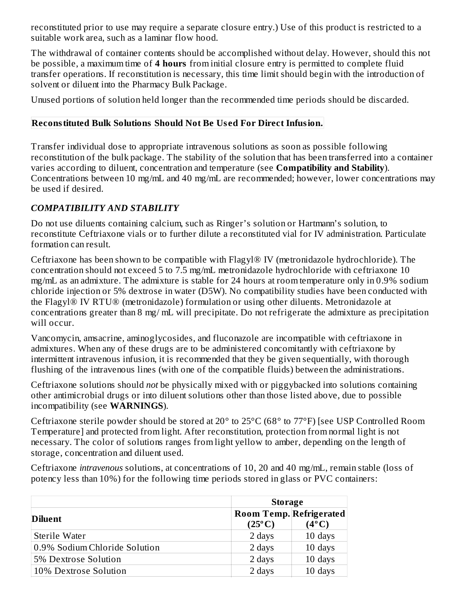reconstituted prior to use may require a separate closure entry.) Use of this product is restricted to a suitable work area, such as a laminar flow hood.

The withdrawal of container contents should be accomplished without delay. However, should this not be possible, a maximum time of **4 hours** from initial closure entry is permitted to complete fluid transfer operations. If reconstitution is necessary, this time limit should begin with the introduction of solvent or diluent into the Pharmacy Bulk Package.

Unused portions of solution held longer than the recommended time periods should be discarded.

## **Reconstituted Bulk Solutions Should Not Be Us ed For Direct Infusion.**

Transfer individual dose to appropriate intravenous solutions as soon as possible following reconstitution of the bulk package. The stability of the solution that has been transferred into a container varies according to diluent, concentration and temperature (see **Compatibility and Stability**). Concentrations between 10 mg/mL and 40 mg/mL are recommended; however, lower concentrations may be used if desired.

## *COMPATIBILITY AND STABILITY*

Do not use diluents containing calcium, such as Ringer's solution or Hartmann's solution, to reconstitute Ceftriaxone vials or to further dilute a reconstituted vial for IV administration. Particulate formation can result.

Ceftriaxone has been shown to be compatible with Flagyl® IV (metronidazole hydrochloride). The concentration should not exceed 5 to 7.5 mg/mL metronidazole hydrochloride with ceftriaxone 10 mg/mL as an admixture. The admixture is stable for 24 hours at room temperature only in 0.9% sodium chloride injection or 5% dextrose in water (D5W). No compatibility studies have been conducted with the Flagyl® IV RTU® (metronidazole) formulation or using other diluents. Metronidazole at concentrations greater than 8 mg/ mL will precipitate. Do not refrigerate the admixture as precipitation will occur.

Vancomycin, amsacrine, aminoglycosides, and fluconazole are incompatible with ceftriaxone in admixtures. When any of these drugs are to be administered concomitantly with ceftriaxone by intermittent intravenous infusion, it is recommended that they be given sequentially, with thorough flushing of the intravenous lines (with one of the compatible fluids) between the administrations.

Ceftriaxone solutions should *not* be physically mixed with or piggybacked into solutions containing other antimicrobial drugs or into diluent solutions other than those listed above, due to possible incompatibility (see **WARNINGS**).

Ceftriaxone sterile powder should be stored at 20° to 25°C (68° to 77°F) [see USP Controlled Room Temperature] and protected from light. After reconstitution, protection from normal light is not necessary. The color of solutions ranges from light yellow to amber, depending on the length of storage, concentration and diluent used.

Ceftriaxone *intravenous* solutions, at concentrations of 10, 20 and 40 mg/mL, remain stable (loss of potency less than 10%) for the following time periods stored in glass or PVC containers:

|                               |                                                   | <b>Storage</b> |  |  |  |
|-------------------------------|---------------------------------------------------|----------------|--|--|--|
| Diluent                       | <b>Room Temp. Refrigerated</b><br>$(25^{\circ}C)$ | (4°C)          |  |  |  |
| Sterile Water                 | 2 days                                            | 10 days        |  |  |  |
| 0.9% Sodium Chloride Solution | 2 days                                            | 10 days        |  |  |  |
| 5% Dextrose Solution          | 2 days                                            | 10 days        |  |  |  |
| 10% Dextrose Solution         | 2 days                                            | 10 days        |  |  |  |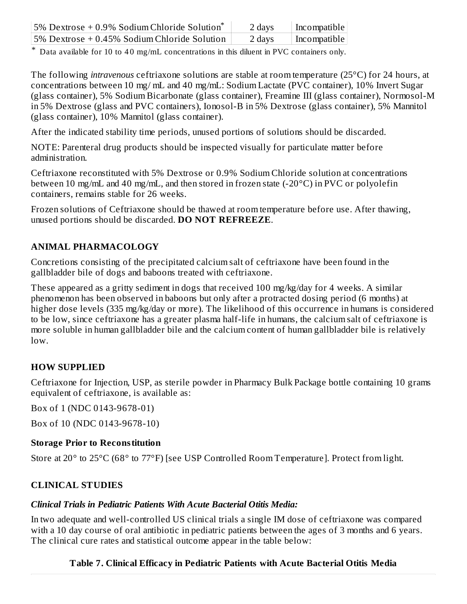| 5% Dextrose $+0.9\%$ Sodium Chloride Solution <sup>*</sup> | 2 days | Incompatible |
|------------------------------------------------------------|--------|--------------|
| $5\%$ Dextrose + 0.45% Sodium Chloride Solution            | 2 days | Incompatible |

\* Data available for 10 to 40 mg/mL concentrations in this diluent in PVC containers only.

The following *intravenous* ceftriaxone solutions are stable at room temperature (25°C) for 24 hours, at concentrations between 10 mg/ mL and 40 mg/mL: Sodium Lactate (PVC container), 10% Invert Sugar (glass container), 5% Sodium Bicarbonate (glass container), Freamine III (glass container), Normosol-M in 5% Dextrose (glass and PVC containers), Ionosol-B in 5% Dextrose (glass container), 5% Mannitol (glass container), 10% Mannitol (glass container).

After the indicated stability time periods, unused portions of solutions should be discarded.

NOTE: Parenteral drug products should be inspected visually for particulate matter before administration.

Ceftriaxone reconstituted with 5% Dextrose or 0.9% Sodium Chloride solution at concentrations between 10 mg/mL and 40 mg/mL, and then stored in frozen state (-20°C) in PVC or polyolefin containers, remains stable for 26 weeks.

Frozen solutions of Ceftriaxone should be thawed at room temperature before use. After thawing, unused portions should be discarded. **DO NOT REFREEZE**.

## **ANIMAL PHARMACOLOGY**

Concretions consisting of the precipitated calcium salt of ceftriaxone have been found in the gallbladder bile of dogs and baboons treated with ceftriaxone.

These appeared as a gritty sediment in dogs that received 100 mg/kg/day for 4 weeks. A similar phenomenon has been observed in baboons but only after a protracted dosing period (6 months) at higher dose levels (335 mg/kg/day or more). The likelihood of this occurrence in humans is considered to be low, since ceftriaxone has a greater plasma half-life in humans, the calcium salt of ceftriaxone is more soluble in human gallbladder bile and the calcium content of human gallbladder bile is relatively low.

## **HOW SUPPLIED**

Ceftriaxone for Injection, USP, as sterile powder in Pharmacy Bulk Package bottle containing 10 grams equivalent of ceftriaxone, is available as:

Box of 1 (NDC 0143-9678-01)

Box of 10 (NDC 0143-9678-10)

## **Storage Prior to Reconstitution**

Store at 20° to 25°C (68° to 77°F) [see USP Controlled Room Temperature]. Protect from light.

## **CLINICAL STUDIES**

### *Clinical Trials in Pediatric Patients With Acute Bacterial Otitis Media:*

In two adequate and well-controlled US clinical trials a single IM dose of ceftriaxone was compared with a 10 day course of oral antibiotic in pediatric patients between the ages of 3 months and 6 years. The clinical cure rates and statistical outcome appear in the table below:

## **Table 7. Clinical Efficacy in Pediatric Patients with Acute Bacterial Otitis Media**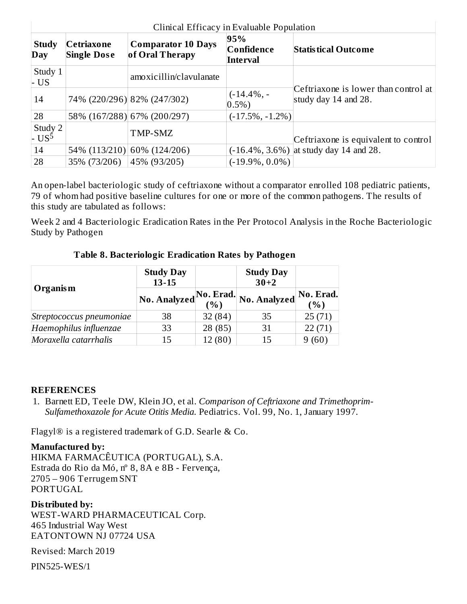|                      |                                  | Clinical Efficacy in Evaluable Population    |                                      |                                                              |
|----------------------|----------------------------------|----------------------------------------------|--------------------------------------|--------------------------------------------------------------|
| <b>Study</b><br>Day  | Cetriaxone<br><b>Single Dose</b> | <b>Comparator 10 Days</b><br>of Oral Therapy | 95%<br>Confidence<br><b>Interval</b> | <b>Statistical Outcome</b>                                   |
| Study 1<br>- US      |                                  | amoxicillin/clavulanate                      |                                      |                                                              |
| 14                   |                                  | 74% (220/296) 82% (247/302)                  | $(-14.4\%, -$<br>$0.5\%)$            | Ceftriaxone is lower than control at<br>study day 14 and 28. |
| 28                   |                                  | 58% (167/288) 67% (200/297)                  | $(-17.5\%, -1.2\%)$                  |                                                              |
| Study 2<br>- US $^5$ |                                  | TMP-SMZ                                      |                                      | Ceftriaxone is equivalent to control                         |
| 14                   | 54% (113/210)                    | 60% (124/206)                                |                                      | $(-16.4\%, 3.6\%)$ at study day 14 and 28.                   |
| 28                   | 35% (73/206)                     | 45% (93/205)                                 | $(-19.9\%, 0.0\%)$                   |                                                              |

An open-label bacteriologic study of ceftriaxone without a comparator enrolled 108 pediatric patients, 79 of whom had positive baseline cultures for one or more of the common pathogens. The results of this study are tabulated as follows:

Week 2 and 4 Bacteriologic Eradication Rates in the Per Protocol Analysis in the Roche Bacteriologic Study by Pathogen

|                          | <b>Study Day</b><br>$13 - 15$                          |         | <b>Study Day</b><br>$30+2$ |                  |
|--------------------------|--------------------------------------------------------|---------|----------------------------|------------------|
| <b>Organism</b>          | $\parallel$ No. Analyzed $\vert$ No. Erad. $\vert$ No. | (96)    | No. Analyzed               | No. Erad.<br>(%) |
| Streptococcus pneumoniae | 38                                                     | 32(84)  | 35                         | 25(71)           |
| Haemophilus influenzae   | 33                                                     | 28 (85) | 31                         | 22 (71)          |
| Moraxella catarrhalis    |                                                        | 12 (80) |                            | ٬60              |

#### **Table 8. Bacteriologic Eradication Rates by Pathogen**

#### **REFERENCES**

1. Barnett ED, Teele DW, Klein JO, et al. *Comparison of Ceftriaxone and Trimethoprim-Sulfamethoxazole for Acute Otitis Media.* Pediatrics. Vol. 99, No. 1, January 1997.

Flagyl® is a registered trademark of G.D. Searle & Co.

#### **Manufactured by:**

HIKMA FARMACÊUTICA (PORTUGAL), S.A. Estrada do Rio da Mó, nº 8, 8A e 8B - Fervença, 2705 – 906 Terrugem SNT PORTUGAL

#### **Distributed by:**

WEST-WARD PHARMACEUTICAL Corp. 465 Industrial Way West EATONTOWN NJ 07724 USA

Revised: March 2019

PIN525-WES/1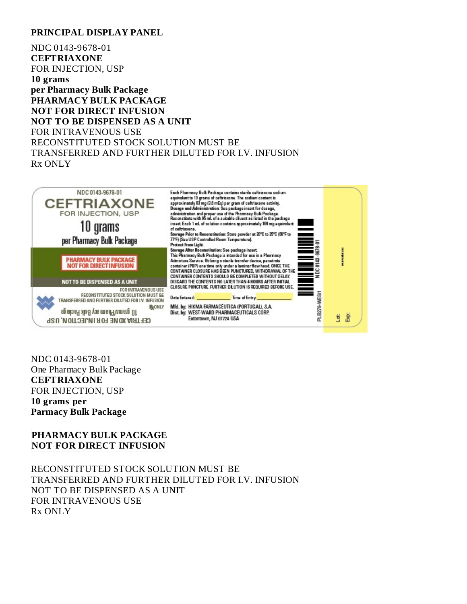#### **PRINCIPAL DISPLAY PANEL**

NDC 0143-9678-01 **CEFTRIAXONE** FOR INJECTION, USP **10 grams per Pharmacy Bulk Package PHARMACY BULK PACKAGE NOT FOR DIRECT INFUSION NOT TO BE DISPENSED AS A UNIT** FOR INTRAVENOUS USE RECONSTITUTED STOCK SOLUTION MUST BE TRANSFERRED AND FURTHER DILUTED FOR I.V. INFUSION Rx ONLY



NDC 0143-9678-01 One Pharmacy Bulk Package **CEFTRIAXONE** FOR INJECTION, USP **10 grams per Parmacy Bulk Package**

**PHARMACY BULK PACKAGE NOT FOR DIRECT INFUSION**

RECONSTITUTED STOCK SOLUTION MUST BE TRANSFERRED AND FURTHER DILUTED FOR I.V. INFUSION NOT TO BE DISPENSED AS A UNIT FOR INTRAVENOUS USE Rx ONLY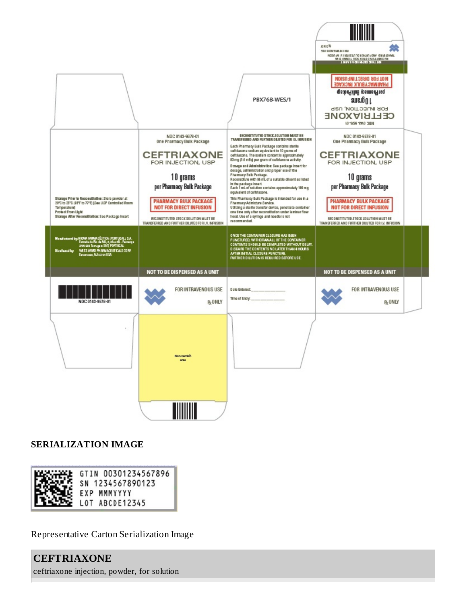

#### **SERIALIZATION IMAGE**



Representative Carton Serialization Image